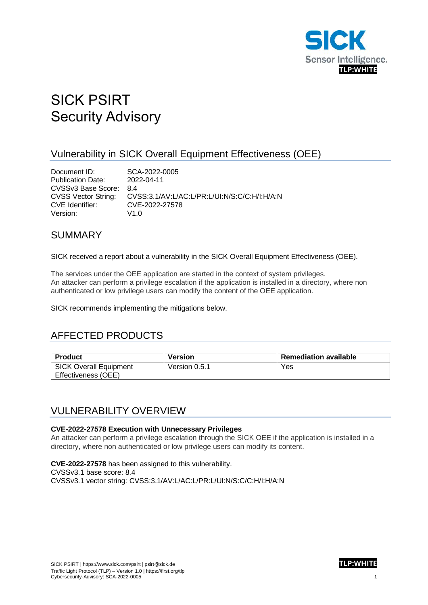

# SICK PSIRT Security Advisory

#### Vulnerability in SICK Overall Equipment Effectiveness (OEE)

**Document ID:** SCA-2022-0005<br>
Publication Date: 2022-04-11 Publication Date: CVSSv3 Base Score: 8.4 CVSS Vector String: CVSS:3.1/AV:L/AC:L/PR:L/UI:N/S:C/C:H/I:H/A:N CVE Identifier: CVE-2022-27578 Version: V1.0

#### SUMMARY

SICK received a report about a vulnerability in the SICK Overall Equipment Effectiveness (OEE).

The services under the OEE application are started in the context of system privileges. An attacker can perform a privilege escalation if the application is installed in a directory, where non authenticated or low privilege users can modify the content of the OEE application.

SICK recommends implementing the mitigations below.

### AFFECTED PRODUCTS

| <b>Product</b>         | Version       | <b>Remediation available</b> |
|------------------------|---------------|------------------------------|
| SICK Overall Equipment | Version 0.5.1 | Yes                          |
| Effectiveness (OEE)    |               |                              |

#### VULNERABILITY OVERVIEW

#### **CVE-2022-27578 Execution with Unnecessary Privileges**

An attacker can perform a privilege escalation through the SICK OEE if the application is installed in a directory, where non authenticated or low privilege users can modify its content.

**CVE-2022-27578** has been assigned to this vulnerability. CVSSv3.1 base score: 8.4 CVSSv3.1 vector string: CVSS:3.1/AV:L/AC:L/PR:L/UI:N/S:C/C:H/I:H/A:N